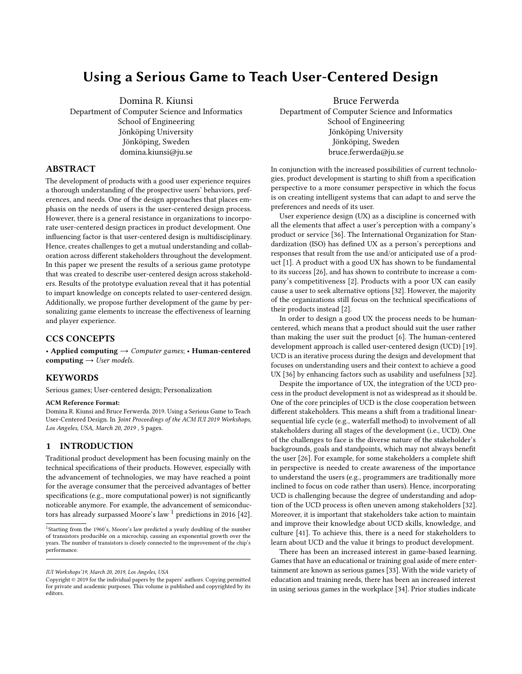# Using a Serious Game to Teach User-Centered Design

Domina R. Kiunsi

Department of Computer Science and Informatics School of Engineering Jönköping University Jönköping, Sweden domina.kiunsi@ju.se

# ABSTRACT

The development of products with a good user experience requires a thorough understanding of the prospective users' behaviors, preferences, and needs. One of the design approaches that places emphasis on the needs of users is the user-centered design process. However, there is a general resistance in organizations to incorporate user-centered design practices in product development. One influencing factor is that user-centered design is multidisciplinary. Hence, creates challenges to get a mutual understanding and collaboration across different stakeholders throughout the development. In this paper we present the results of a serious game prototype that was created to describe user-centered design across stakeholders. Results of the prototype evaluation reveal that it has potential to impart knowledge on concepts related to user-centered design. Additionally, we propose further development of the game by personalizing game elements to increase the effectiveness of learning and player experience.

# CCS CONCEPTS

• Applied computing  $\rightarrow$  Computer games; • Human-centered computing  $\rightarrow$  User models.

# **KEYWORDS**

Serious games; User-centered design; Personalization

#### ACM Reference Format:

Domina R. Kiunsi and Bruce Ferwerda. 2019. Using a Serious Game to Teach User-Centered Design. In Joint Proceedings of the ACM IUI 2019 Workshops, Los Angeles, USA, March 20, 2019 , [5](#page-4-0) pages.

#### 1 INTRODUCTION

Traditional product development has been focusing mainly on the technical specifications of their products. However, especially with the advancement of technologies, we may have reached a point for the average consumer that the perceived advantages of better specifications (e.g., more computational power) is not significantly noticeable anymore. For example, the advancement of semiconduc-tors has already surpassed Moore's law <sup>[1](#page-0-0)</sup> predictions in 2016 [\[42\]](#page-4-1).

Bruce Ferwerda Department of Computer Science and Informatics School of Engineering Jönköping University Jönköping, Sweden bruce.ferwerda@ju.se

In conjunction with the increased possibilities of current technologies, product development is starting to shift from a specification perspective to a more consumer perspective in which the focus is on creating intelligent systems that can adapt to and serve the preferences and needs of its user.

User experience design (UX) as a discipline is concerned with all the elements that affect a user's perception with a company's product or service [\[36\]](#page-4-2). The International Organization for Standardization (ISO) has defined UX as a person's perceptions and responses that result from the use and/or anticipated use of a product [\[1\]](#page-4-3). A product with a good UX has shown to be fundamental to its success [\[26\]](#page-4-4), and has shown to contribute to increase a company's competitiveness [\[2\]](#page-4-5). Products with a poor UX can easily cause a user to seek alternative options [\[32\]](#page-4-6). However, the majority of the organizations still focus on the technical specifications of their products instead [\[2\]](#page-4-5).

In order to design a good UX the process needs to be humancentered, which means that a product should suit the user rather than making the user suit the product [\[6\]](#page-4-7). The human-centered development approach is called user-centered design (UCD) [\[19\]](#page-4-8). UCD is an iterative process during the design and development that focuses on understanding users and their context to achieve a good UX [\[36\]](#page-4-2) by enhancing factors such as usability and usefulness [\[32\]](#page-4-6).

Despite the importance of UX, the integration of the UCD process in the product development is not as widespread as it should be. One of the core principles of UCD is the close cooperation between different stakeholders. This means a shift from a traditional linearsequential life cycle (e.g., waterfall method) to involvement of all stakeholders during all stages of the development (i.e., UCD). One of the challenges to face is the diverse nature of the stakeholder's backgrounds, goals and standpoints, which may not always benefit the user [\[26\]](#page-4-4). For example, for some stakeholders a complete shift in perspective is needed to create awareness of the importance to understand the users (e.g., programmers are traditionally more inclined to focus on code rather than users). Hence, incorporating UCD is challenging because the degree of understanding and adoption of the UCD process is often uneven among stakeholders [\[32\]](#page-4-6). Moreover, it is important that stakeholders take action to maintain and improve their knowledge about UCD skills, knowledge, and culture [\[41\]](#page-4-9). To achieve this, there is a need for stakeholders to learn about UCD and the value it brings to product development.

There has been an increased interest in game-based learning. Games that have an educational or training goal aside of mere entertainment are known as serious games [\[33\]](#page-4-10). With the wide variety of education and training needs, there has been an increased interest in using serious games in the workplace [\[34\]](#page-4-11). Prior studies indicate

<span id="page-0-0"></span><sup>&</sup>lt;sup>1</sup>Starting from the 1960's, Moore's law predicted a yearly doubling of the number of transistors producible on a microchip, causing an exponential growth over the years. The number of transistors is closely connected to the improvement of the chip's performance.

IUI Workshops'19, March 20, 2019, Los Angeles, USA

Copyright © 2019 for the individual papers by the papers' authors. Copying permitted for private and academic purposes. This volume is published and copyrighted by its editors.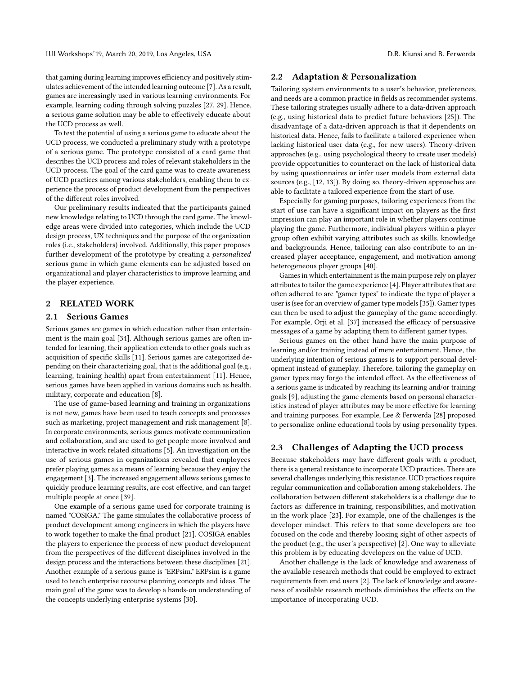IUI Workshops'19, March 20, 2019, Los Angeles, USA D.R. Kiunsi and B. Ferwerda

that gaming during learning improves efficiency and positively stimulates achievement of the intended learning outcome [\[7\]](#page-4-12). As a result, games are increasingly used in various learning environments. For example, learning coding through solving puzzles [\[27,](#page-4-13) [29\]](#page-4-14). Hence, a serious game solution may be able to effectively educate about the UCD process as well.

To test the potential of using a serious game to educate about the UCD process, we conducted a preliminary study with a prototype of a serious game. The prototype consisted of a card game that describes the UCD process and roles of relevant stakeholders in the UCD process. The goal of the card game was to create awareness of UCD practices among various stakeholders, enabling them to experience the process of product development from the perspectives of the different roles involved.

Our preliminary results indicated that the participants gained new knowledge relating to UCD through the card game. The knowledge areas were divided into categories, which include the UCD design process, UX techniques and the purpose of the organization roles (i.e., stakeholders) involved. Additionally, this paper proposes further development of the prototype by creating a personalized serious game in which game elements can be adjusted based on organizational and player characteristics to improve learning and the player experience.

# 2 RELATED WORK

#### 2.1 Serious Games

Serious games are games in which education rather than entertainment is the main goal [\[34\]](#page-4-11). Although serious games are often intended for learning, their application extends to other goals such as acquisition of specific skills [\[11\]](#page-4-15). Serious games are categorized depending on their characterizing goal, that is the additional goal (e.g., learning, training health) apart from entertainment [\[11\]](#page-4-15). Hence, serious games have been applied in various domains such as health, military, corporate and education [\[8\]](#page-4-16).

The use of game-based learning and training in organizations is not new, games have been used to teach concepts and processes such as marketing, project management and risk management [\[8\]](#page-4-16). In corporate environments, serious games motivate communication and collaboration, and are used to get people more involved and interactive in work related situations [\[5\]](#page-4-17). An investigation on the use of serious games in organizations revealed that employees prefer playing games as a means of learning because they enjoy the engagement [\[3\]](#page-4-18). The increased engagement allows serious games to quickly produce learning results, are cost effective, and can target multiple people at once [\[39\]](#page-4-19).

One example of a serious game used for corporate training is named "COSIGA." The game simulates the collaborative process of product development among engineers in which the players have to work together to make the final product [\[21\]](#page-4-20). COSIGA enables the players to experience the process of new product development from the perspectives of the different disciplines involved in the design process and the interactions between these disciplines [\[21\]](#page-4-20). Another example of a serious game is "ERPsim." ERPsim is a game used to teach enterprise recourse planning concepts and ideas. The main goal of the game was to develop a hands-on understanding of the concepts underlying enterprise systems [\[30\]](#page-4-21).

#### 2.2 Adaptation & Personalization

Tailoring system environments to a user's behavior, preferences, and needs are a common practice in fields as recommender systems. These tailoring strategies usually adhere to a data-driven approach (e.g., using historical data to predict future behaviors [\[25\]](#page-4-22)). The disadvantage of a data-driven approach is that it dependents on historical data. Hence, fails to facilitate a tailored experience when lacking historical user data (e.g., for new users). Theory-driven approaches (e.g., using psychological theory to create user models) provide opportunities to counteract on the lack of historical data by using questionnaires or infer user models from external data sources (e.g., [\[12,](#page-4-23) [13\]](#page-4-24)). By doing so, theory-driven approaches are able to facilitate a tailored experience from the start of use.

Especially for gaming purposes, tailoring experiences from the start of use can have a significant impact on players as the first impression can play an important role in whether players continue playing the game. Furthermore, individual players within a player group often exhibit varying attributes such as skills, knowledge and backgrounds. Hence, tailoring can also contribute to an increased player acceptance, engagement, and motivation among heterogeneous player groups [\[40\]](#page-4-25).

Games in which entertainment is the main purpose rely on player attributes to tailor the game experience [\[4\]](#page-4-26). Player attributes that are often adhered to are "gamer types" to indicate the type of player a user is (see for an overview of gamer type models [\[35\]](#page-4-27)). Gamer types can then be used to adjust the gameplay of the game accordingly. For example, Orji et al. [\[37\]](#page-4-28) increased the efficacy of persuasive messages of a game by adapting them to different gamer types.

Serious games on the other hand have the main purpose of learning and/or training instead of mere entertainment. Hence, the underlying intention of serious games is to support personal development instead of gameplay. Therefore, tailoring the gameplay on gamer types may forgo the intended effect. As the effectiveness of a serious game is indicated by reaching its learning and/or training goals [\[9\]](#page-4-29), adjusting the game elements based on personal characteristics instead of player attributes may be more effective for learning and training purposes. For example, Lee & Ferwerda [\[28\]](#page-4-30) proposed to personalize online educational tools by using personality types.

## 2.3 Challenges of Adapting the UCD process

Because stakeholders may have different goals with a product, there is a general resistance to incorporate UCD practices. There are several challenges underlying this resistance. UCD practices require regular communication and collaboration among stakeholders. The collaboration between different stakeholders is a challenge due to factors as: difference in training, responsibilities, and motivation in the work place [\[23\]](#page-4-31). For example, one of the challenges is the developer mindset. This refers to that some developers are too focused on the code and thereby loosing sight of other aspects of the product (e.g., the user's perspective) [\[2\]](#page-4-5). One way to alleviate this problem is by educating developers on the value of UCD.

Another challenge is the lack of knowledge and awareness of the available research methods that could be employed to extract requirements from end users [\[2\]](#page-4-5). The lack of knowledge and awareness of available research methods diminishes the effects on the importance of incorporating UCD.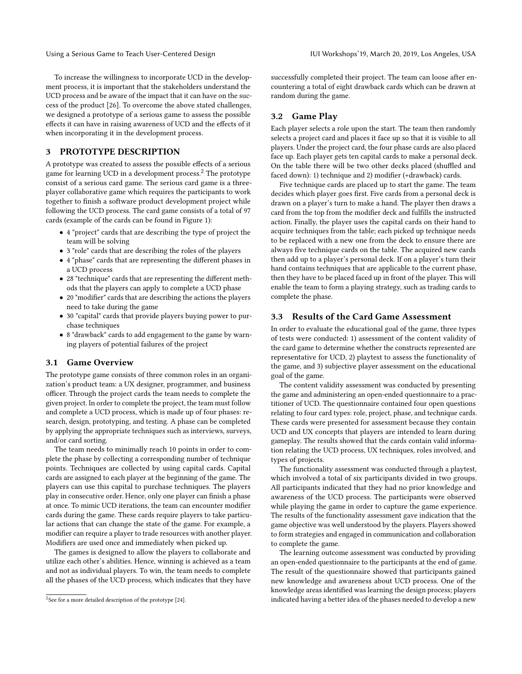To increase the willingness to incorporate UCD in the development process, it is important that the stakeholders understand the UCD process and be aware of the impact that it can have on the success of the product [\[26\]](#page-4-4). To overcome the above stated challenges, we designed a prototype of a serious game to assess the possible effects it can have in raising awareness of UCD and the effects of it when incorporating it in the development process.

# 3 PROTOTYPE DESCRIPTION

A prototype was created to assess the possible effects of a serious game for learning UCD in a development process.<sup>[2](#page-2-0)</sup> The prototype consist of a serious card game. The serious card game is a threeplayer collaborative game which requires the participants to work together to finish a software product development project while following the UCD process. The card game consists of a total of 97 cards (example of the cards can be found in Figure [1\)](#page-3-0):

- 4 "project" cards that are describing the type of project the team will be solving
- 3 "role" cards that are describing the roles of the players
- 4 "phase" cards that are representing the different phases in a UCD process
- 28 "technique" cards that are representing the different methods that the players can apply to complete a UCD phase
- 20 "modifier" cards that are describing the actions the players need to take during the game
- 30 "capital" cards that provide players buying power to purchase techniques
- 8 "drawback" cards to add engagement to the game by warning players of potential failures of the project

#### 3.1 Game Overview

The prototype game consists of three common roles in an organization's product team: a UX designer, programmer, and business officer. Through the project cards the team needs to complete the given project. In order to complete the project, the team must follow and complete a UCD process, which is made up of four phases: research, design, prototyping, and testing. A phase can be completed by applying the appropriate techniques such as interviews, surveys, and/or card sorting.

The team needs to minimally reach 10 points in order to complete the phase by collecting a corresponding number of technique points. Techniques are collected by using capital cards. Capital cards are assigned to each player at the beginning of the game. The players can use this capital to purchase techniques. The players play in consecutive order. Hence, only one player can finish a phase at once. To mimic UCD iterations, the team can encounter modifier cards during the game. These cards require players to take particular actions that can change the state of the game. For example, a modifier can require a player to trade resources with another player. Modifiers are used once and immediately when picked up.

The games is designed to allow the players to collaborate and utilize each other's abilities. Hence, winning is achieved as a team and not as individual players. To win, the team needs to complete all the phases of the UCD process, which indicates that they have successfully completed their project. The team can loose after encountering a total of eight drawback cards which can be drawn at random during the game.

# 3.2 Game Play

Each player selects a role upon the start. The team then randomly selects a project card and places it face up so that it is visible to all players. Under the project card, the four phase cards are also placed face up. Each player gets ten capital cards to make a personal deck. On the table there will be two other decks placed (shuffled and faced down): 1) technique and 2) modifier (+drawback) cards.

Five technique cards are placed up to start the game. The team decides which player goes first. Five cards from a personal deck is drawn on a player's turn to make a hand. The player then draws a card from the top from the modifier deck and fulfills the instructed action. Finally, the player uses the capital cards on their hand to acquire techniques from the table; each picked up technique needs to be replaced with a new one from the deck to ensure there are always five technique cards on the table. The acquired new cards then add up to a player's personal deck. If on a player's turn their hand contains techniques that are applicable to the current phase, then they have to be placed faced up in front of the player. This will enable the team to form a playing strategy, such as trading cards to complete the phase.

#### 3.3 Results of the Card Game Assessment

In order to evaluate the educational goal of the game, three types of tests were conducted: 1) assessment of the content validity of the card game to determine whether the constructs represented are representative for UCD, 2) playtest to assess the functionality of the game, and 3) subjective player assessment on the educational goal of the game.

The content validity assessment was conducted by presenting the game and administering an open-ended questionnaire to a practitioner of UCD. The questionnaire contained four open questions relating to four card types: role, project, phase, and technique cards. These cards were presented for assessment because they contain UCD and UX concepts that players are intended to learn during gameplay. The results showed that the cards contain valid information relating the UCD process, UX techniques, roles involved, and types of projects.

The functionality assessment was conducted through a playtest, which involved a total of six participants divided in two groups. All participants indicated that they had no prior knowledge and awareness of the UCD process. The participants were observed while playing the game in order to capture the game experience. The results of the functionality assessment gave indication that the game objective was well understood by the players. Players showed to form strategies and engaged in communication and collaboration to complete the game.

The learning outcome assessment was conducted by providing an open-ended questionnaire to the participants at the end of game. The result of the questionnaire showed that participants gained new knowledge and awareness about UCD process. One of the knowledge areas identified was learning the design process; players indicated having a better idea of the phases needed to develop a new

<span id="page-2-0"></span> $2$ See for a more detailed description of the prototype [\[24\]](#page-4-32).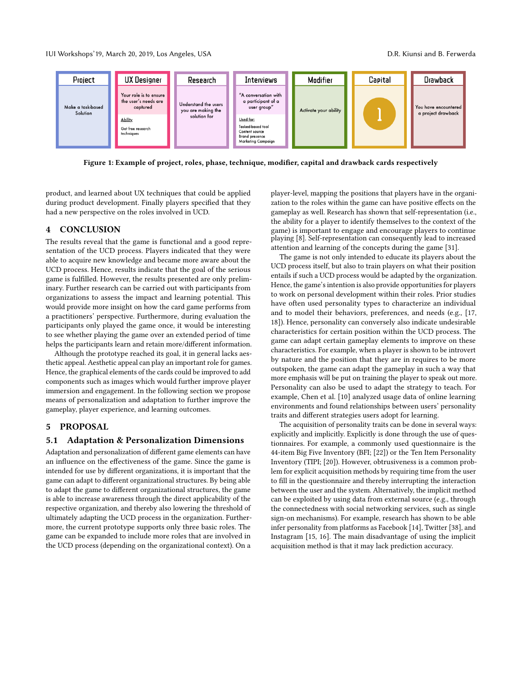IUI Workshops'19, March 20, 2019, Los Angeles, USA D.R. Kiunsi and B. Ferwerda

<span id="page-3-0"></span>

Figure 1: Example of project, roles, phase, technique, modifier, capital and drawback cards respectively

product, and learned about UX techniques that could be applied during product development. Finally players specified that they had a new perspective on the roles involved in UCD.

# 4 CONCLUSION

The results reveal that the game is functional and a good representation of the UCD process. Players indicated that they were able to acquire new knowledge and became more aware about the UCD process. Hence, results indicate that the goal of the serious game is fulfilled. However, the results presented are only preliminary. Further research can be carried out with participants from organizations to assess the impact and learning potential. This would provide more insight on how the card game performs from a practitioners' perspective. Furthermore, during evaluation the participants only played the game once, it would be interesting to see whether playing the game over an extended period of time helps the participants learn and retain more/different information.

Although the prototype reached its goal, it in general lacks aesthetic appeal. Aesthetic appeal can play an important role for games. Hence, the graphical elements of the cards could be improved to add components such as images which would further improve player immersion and engagement. In the following section we propose means of personalization and adaptation to further improve the gameplay, player experience, and learning outcomes.

### 5 PROPOSAL

#### 5.1 Adaptation & Personalization Dimensions

Adaptation and personalization of different game elements can have an influence on the effectiveness of the game. Since the game is intended for use by different organizations, it is important that the game can adapt to different organizational structures. By being able to adapt the game to different organizational structures, the game is able to increase awareness through the direct applicability of the respective organization, and thereby also lowering the threshold of ultimately adapting the UCD process in the organization. Furthermore, the current prototype supports only three basic roles. The game can be expanded to include more roles that are involved in the UCD process (depending on the organizational context). On a

player-level, mapping the positions that players have in the organization to the roles within the game can have positive effects on the gameplay as well. Research has shown that self-representation (i.e., the ability for a player to identify themselves to the context of the game) is important to engage and encourage players to continue playing [\[8\]](#page-4-16). Self-representation can consequently lead to increased attention and learning of the concepts during the game [\[31\]](#page-4-33).

The game is not only intended to educate its players about the UCD process itself, but also to train players on what their position entails if such a UCD process would be adapted by the organization. Hence, the game's intention is also provide opportunities for players to work on personal development within their roles. Prior studies have often used personality types to characterize an individual and to model their behaviors, preferences, and needs (e.g., [\[17,](#page-4-34) [18\]](#page-4-35)). Hence, personality can conversely also indicate undesirable characteristics for certain position within the UCD process. The game can adapt certain gameplay elements to improve on these characteristics. For example, when a player is shown to be introvert by nature and the position that they are in requires to be more outspoken, the game can adapt the gameplay in such a way that more emphasis will be put on training the player to speak out more. Personality can also be used to adapt the strategy to teach. For example, Chen et al. [\[10\]](#page-4-36) analyzed usage data of online learning environments and found relationships between users' personality traits and different strategies users adopt for learning.

The acquisition of personality traits can be done in several ways: explicitly and implicitly. Explicitly is done through the use of questionnaires. For example, a commonly used questionnaire is the 44-item Big Five Inventory (BFI; [\[22\]](#page-4-37)) or the Ten Item Personality Inventory (TIPI; [\[20\]](#page-4-38)). However, obtrusiveness is a common problem for explicit acquisition methods by requiring time from the user to fill in the questionnaire and thereby interrupting the interaction between the user and the system. Alternatively, the implicit method can be exploited by using data from external source (e.g., through the connectedness with social networking services, such as single sign-on mechanisms). For example, research has shown to be able infer personality from platforms as Facebook [\[14\]](#page-4-39), Twitter [\[38\]](#page-4-40), and Instagram [\[15,](#page-4-41) [16\]](#page-4-42). The main disadvantage of using the implicit acquisition method is that it may lack prediction accuracy.